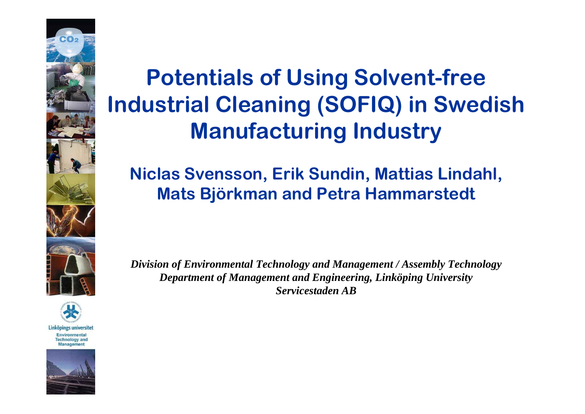

Linköpings universitet Environmental

**Technology and** Management



# **Potentials of Using Solvent-free Industrial Cleaning (SOFIQ) in Swedish Manufacturing Industry**

#### **Niclas Svensson, Erik Sundin, Mattias Lindahl, Mats Björkman and Petra Hammarstedt**

*Division of Environmental Technology and Management / Assembly Technology Department of Management and Engineering, Linköping University Servicestaden AB*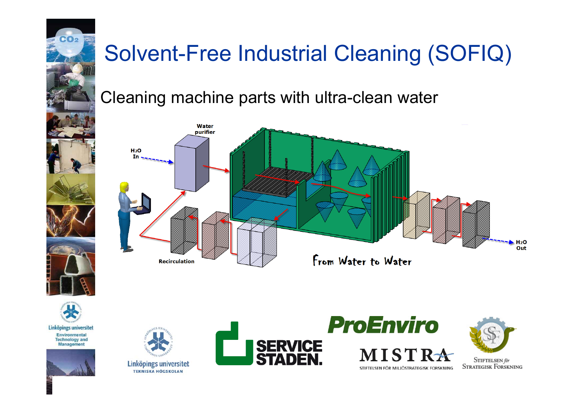

# Solvent-Free Industrial Cleaning (SOFIQ)

Cleaning machine parts with ultra-clean water





Linköpings universitet Environmental **Technology and** Management





Linköpings universitet **TEKNISKA HÖGSKOLAN** 







STIFTELSEN för **STRATEGISK FORSKNING**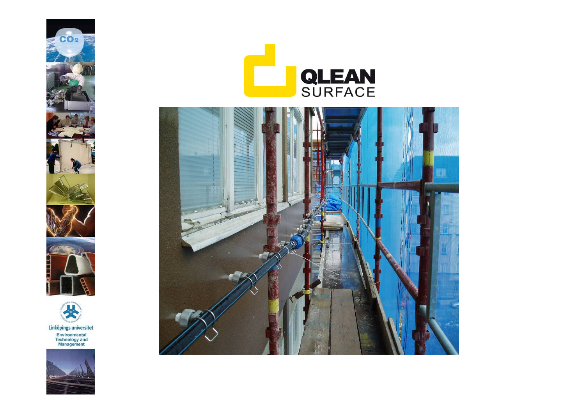







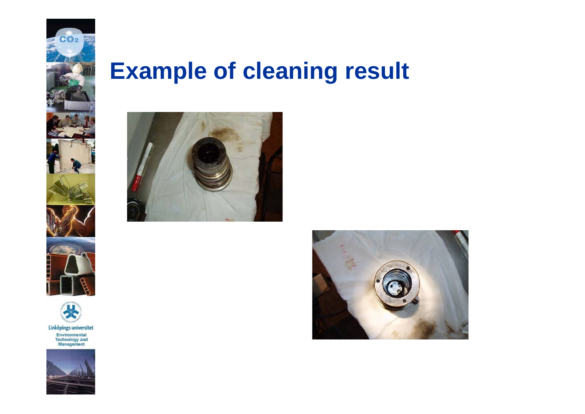

### **Example of cleaning result**





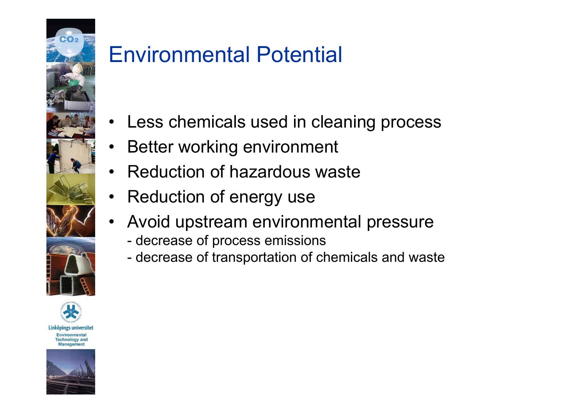

### Environmental Potential

- •Less chemicals used in cleaning process
- •Better working environment
- •Reduction of hazardous waste
- •Reduction of energy use
- • Avoid upstream environmental pressure
	- decrease of process emissions
	- decrease of transportation of chemicals and waste



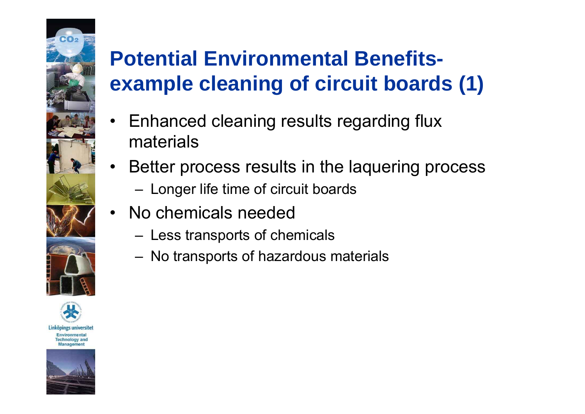# **Potential Environmental Benefitsexample cleaning of circuit boards (1)**

- • Enhanced cleaning results regarding flux materials
- • Better process results in the laquering process
	- $-$  Longer life time of circuit boards
- $\bullet$  No chemicals needed
	- $-$  Less transports of chemicals
	- $-$  No transports of hazardous materials



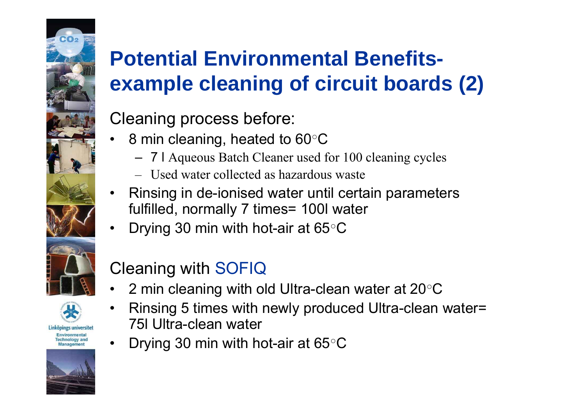# **Potential Environmental Benefitsexample cleaning of circuit boards (2)**

#### Cleaning process before:

- ••  $\,$  8 min cleaning, heated to 60 $^{\circ} \mathsf{C}$ 
	- 7 l Aqueous Batch Cleaner used for 100 cleaning cycles
	- Used water collected as hazardous waste
- • Rinsing in de-ionised water until certain parameters fulfilled, normally 7 times= 100l water
- •• Drying 30 min with hot-air at 65 $^{\circ} \mathsf{C}$





Linköpings universitet Environmental **Technology and** Managemen

•



#### Cleaning with SOFIQ

- ••  $\,$  2 min cleaning with old Ultra-clean water at 20 $^{\circ}$ C  $\,$
- • Rinsing 5 times with newly produced Ultra-clean water= 75l Ultra-clean water
- Drying 30 min with hot-air at 65 $^{\circ}$ C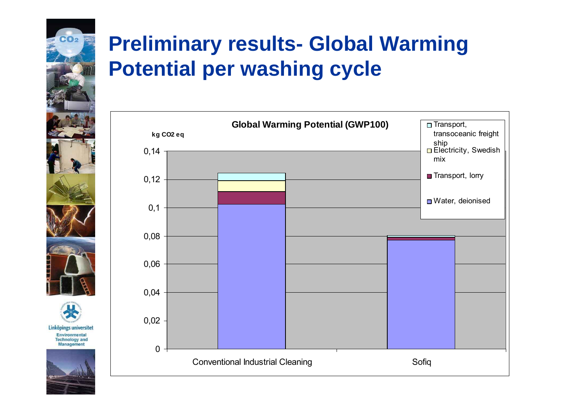### **Preliminary results- Global Warming Potential per washing cycle**

 $CO<sub>2</sub>$